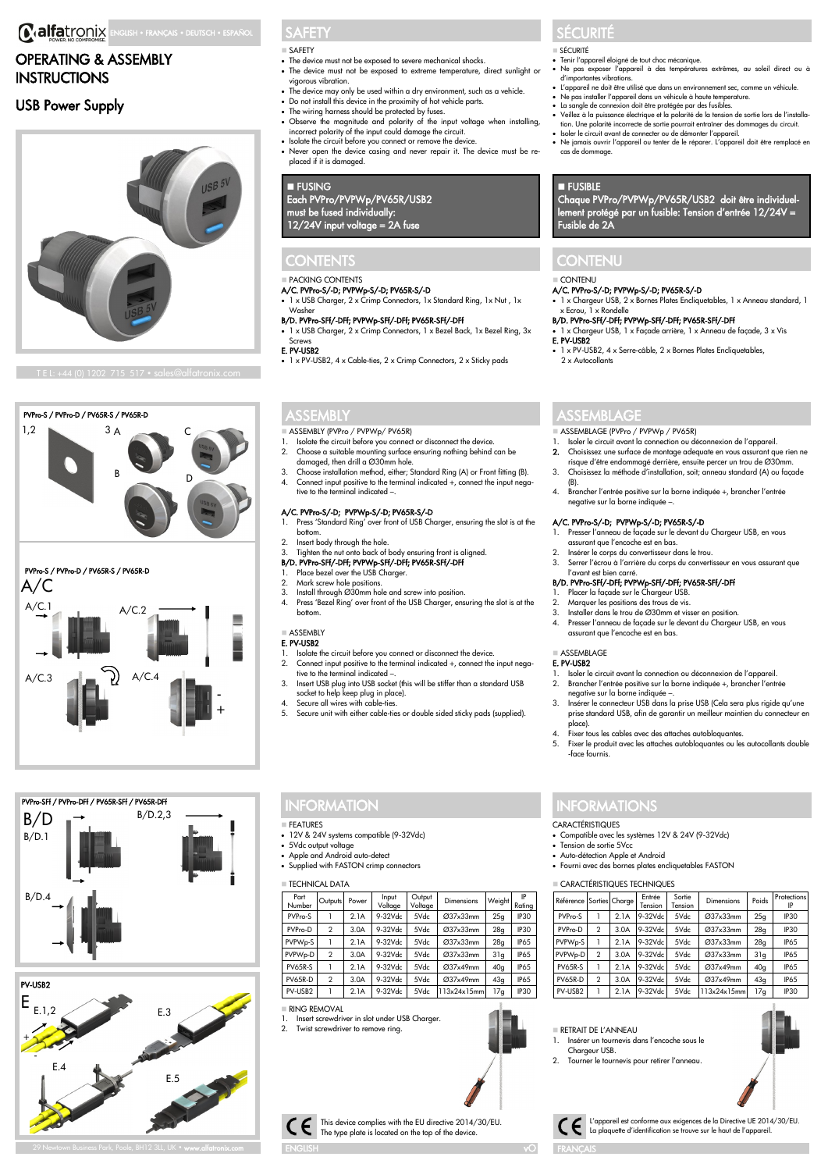# **C.alfatronix** ENGLISH • FRANÇAIS • DEUTSCH • ESPAÑOL

# OPERATING & ASSEMBLY **INSTRUCTIONS**

# USB Power Supply



### PVPro-S / PVPro-D / PV65R-S / PV65R-D  $1,2$  3 A C



# PVPro-S / PVPro-D / PV65R-S / PV65R-D



# PVPro-SFf / PVPro-DFf / PV65R-SFf / PV65R-DFf B/D.2,3 B/D.4  $B/D<sub>1</sub>$ B/D



29 Newtown Business Park, Poole, BH12 3LL, UK • **www.alfatronix.com** 

# **SAFETY**

- SAFETY • The device must not be exposed to severe mechanical shocks.
- The device must not be exposed to extreme temperature, direct sunlight or vigorous vibration.
- The device may only be used within a dry environment, such as a vehicle.
- Do not install this device in the proximity of hot vehicle parts.
- The wiring harness should be protected by fuses. Observe the magnitude and polarity of the input voltage when installing,
- incorrect polarity of the input could damage the circuit. • Isolate the circuit before you connect or remove the device.
- Never open the device casing and never repair it. The device must be replaced if it is damaged.

### **E** FUSING

### Each PVPro/PVPWp/PV65R/USB2 must be fused individually: 12/24V input voltage = 2A fuse

### **CONTENTS**

### ◼ PACKING CONTENTS

- A/C. PVPro-S/-D; PVPWp-S/-D; PV65R-S/-D
- 1 x USB Charger, 2 x Crimp Connectors, 1x Standard Ring, 1x Nut , 1x Washer

### B/D. PVPro-SFf/-DFf; PVPWp-SFf/-DFf; PV65R-SFf/-DFf

• 1 x USB Charger, 2 x Crimp Connectors, 1 x Bezel Back, 1x Bezel Ring, 3x Screws

### E. PV-USB2

• 1 x PV-USB2, 4 x Cable-ties, 2 x Crimp Connectors, 2 x Sticky pads

## ASSEMBLY

- ASSEMBLY (PVPro / PVPWp/ PV65R)<br>1. Isolate the circuit before you connect or disconnect the device. 2. Choose a suitable mounting surface ensuring nothing behind can be
- damaged, then drill a Ø30mm hole.
- 3. Choose installation method, either; Standard Ring (A) or Front fitting (B). 4. Connect input positive to the terminal indicated +, connect the input negative to the terminal indicated –.

### A/C. PVPro-S/-D; PVPWp-S/-D; PV65R-S/-D

- 1. Press 'Standard Ring' over front of USB Charger, ensuring the slot is at the bottom.
- 2. Insert body through the hole
- 3. Tighten the nut onto back of body ensuring front is aligned.<br>**B/D. PVPro-SFf/-DFf; PVPWp-SFf/-DFf; PV65R-SFf/-DFf**

### Place bezel over the USB Charger

- 2. Mark screw hole positions.<br>3. Install through  $(220 \text{mm} \text{he})$
- Install through  $\overline{\varnothing}$ 30mm hole and screw into position.
- 4. Press 'Bezel Ring' over front of the USB Charger, ensuring the slot is at the bottom.

#### ■ ASSEMBLY E. PV-USB2

- 1. Isolate the circuit before you connect or disconnect the device.<br>2. Connect input positive to the terminal indicated +. connect the Connect input positive to the terminal indicated +, connect the input nega-
- tive to the terminal indicated -3. Insert USB plug into USB socket (this will be stiffer than a standard USB
- socket to help keep plug in place). 4. Secure all wires with cable-ties.
- 5. Secure unit with either cable-ties or double sided sticky pads (supplied).

## **INFORMATION**

- **EFATURES**
- 12V & 24V systems compatible (9-32Vdc)
- 5Vdc output voltage Apple and Android auto-detect
- Supplied with FASTON crimp connectors

| <b>TECHNICAL DATA</b> |                |       |                  |                   |                   |        |              |  |  |  |  |  |
|-----------------------|----------------|-------|------------------|-------------------|-------------------|--------|--------------|--|--|--|--|--|
| Part<br>Number        | Outputs        | Power | Input<br>Voltage | Output<br>Voltage | <b>Dimensions</b> | Weight | IP<br>Ratina |  |  |  |  |  |
| PVPro-S               |                | 2.1A  | 9-32Vdc          | 5Vdc              | Ø37x33mm          | 25q    | IP30         |  |  |  |  |  |
| PVPro-D               | $\mathcal{P}$  | 3.0A  | 9-32Vdc          | 5Vdc              | Ø37x33mm          | 28q    | IP30         |  |  |  |  |  |
| PVPW <sub>p-S</sub>   |                | 2.1A  | 9-32Vdc          | 5Vdc              | Ø37x33mm          | 28q    | IP65         |  |  |  |  |  |
| PVPW <sub>p-D</sub>   | $\mathfrak{p}$ | 3.0A  | 9-32Vdc          | 5Vdc              | Ø37x33mm          | 31q    | IP65         |  |  |  |  |  |
| PV65R-S               |                | 2.1A  | 9-32Vdc          | 5Vdc              | Ø37x49mm          | 40q    | IP65         |  |  |  |  |  |
| PV65R-D               | $\mathfrak{p}$ | 3.0A  | 9-32Vdc          | 5Vdc              | Ø37x49mm          | 43q    | IP65         |  |  |  |  |  |
| PV-USB2               |                | 2.1A  | 9-32Vdc          | 5Vdc              | 113x24x15mm       | 17q    | IP30         |  |  |  |  |  |

This device complies with the EU directive 2014/30/EU. The type plate is located on the top of the device.

■ RING REMOVAL

ENGLISH

Insert screwdriver in slot under USB Charger. 2. Twist screwdriver to remove ring.

# SÉCURITÉ

- **SÉCURITÉ**
- Tenir l'appareil éloigné de tout choc mécanique.
- Ne pas exposer l'appareil à des températures extrêmes, au soleil direct ou à d'importantes vibrations. L'appareil ne doit être utilisé que dans un environnement sec, comme un véhicule.
- 
- Ne pas installer l'appareil dans un véhicule à haute temperature.<br>• La sangle de connexion doit être protégée par des fusibles.<br>• Veillez à la puissance électrique et la polarité de la tension de sortie lors de l'install
- 
- tion. Une polarité incorrecte de sortie pourrait entraîner des dommages du circuit. Isoler le circuit avant de connecter ou de démonter l'appareil. • Ne jamais ouvrir l'appareil ou tenter de le réparer. L'appareil doit être remplacé en
- cas de dommage.

## **E** FUSIBLE

Chaque PVPro/PVPWp/PV65R/USB2 doit être individuellement protégé par un fusible: Tension d'entrée 12/24V = Fusible de 2A

# **CONTENU**

### $C$ ONITENILI

A/C. PVPro-S/-D; PVPWp-S/-D; PV65R-S/-D • 1 x Chargeur USB, 2 x Bornes Plates Encliquetables, 1 x Anneau standard, 1 x Ecrou, 1 x Rondelle

### B/D. PVPro-SFf/-DFf; PVPWp-SFf/-DFf; PV65R-SFf/-DFf

- 1 x Chargeur USB, 1 x Façade arrière, 1 x Anneau de façade, 3 x Vis E. PV-USB2 • 1 x PV-USB2, 4 x Serre-câble, 2 x Bornes Plates Encliquetables, 2 x Autocollants
- ASSEMBLAGE

- ASSEMBLAGE (PVPro / PVPWp / PV65R)<br>1. Isoler le circuit avant la connection ou déconnexion de l'appareil.
- 2. Choisissez une surface de montage adequate en vous assurant que rien ne
- risque d'être endommagé derrière, ensuite percer un trou de Ø30mm. 3. Choisissez la méthode d'installation, soit; anneau standard (A) ou façade (B).
- 4. Brancher l'entrée positive sur la borne indiquée +, brancher l'entrée negative sur la borne indiquée –.

### A/C. PVPro-S/-D; PVPWp-S/-D; PV65R-S/-D

- 2. Presser l'anneau de façade sur le devant du Chargeur USB, en vous assurant que l'encoche est en bas.
	-
- 2. Insérer le corps du convertisseur dans le trou. 3. Serrer l'écrou à l'arrière du corps du convertisseur en vous assurant que l'avant est bien carré.
- B/D. PVPro-SFf/-DFf; PVPWp-SFf/-DFf; PV65R-SFf/-DFf
	- 1. Placer la façade sur le Chargeur USB.
- 2. Marquer les positions des trous de vis.<br>3. Installer dans le trou de Ø30mm et vis
- 3. Installer dans le trou de Ø30mm et visser en position. 4. Presser l'anneau de façade sur le devant du Chargeur USB, en vous assurant que l'encoche est en bas.
- 

#### ■ ASSEMBLAGE E. PV-USB2

- 1. Isoler le circuit avant la connection ou déconnexion de l'appareil. 2. Brancher l'entrée positive sur la borne indiquée +, brancher l'entrée
- negative sur la borne indiquée –. 3. Insérer le connecteur USB dans la prise USB (Cela sera plus rigide qu'une
- prise standard USB, afin de garantir un meilleur maintien du connecteur en .<br>place).
- 4. Fixer tous les cables avec des attaches autobloquantes.<br>5. Fixer le produit avec les attaches autobloquantes ou les
- 5. Fixer le produit avec les attaches autobloquantes ou les autocollants double -face fournis.

**Sortie** 

PVPro-S 1 2.1A 9-32Vdc 5Vdc Ø37x33mm 25g IP30 PVPro-D 2 3.0A 9-32Vdc 5Vdc Ø37x33mm 28g IP30 PVPWp-S 1 2.1A 9-32Vdc 5Vdc Ø37x33mm 28g IP65  $PVPWp-D$  2 3.0A 9-32Vdc 5Vdc  $\varnothing$ 37x33mm 31g P65 PV65R-S 1 2.1A 9-32Vdc 5Vdc Ø37x49mm 40g IP65 PV65R-D 2 3.0A 9-32Vdc 5Vdc Ø37x49mm 43g IP65 PV-USB2 1 2.1A 9-32Vdc 5Vdc 113x24x15mm 17g IP30

Sortie Dimensions Poids Protections

# **NFORMATIONS**

- **CARACTÉRISTIQUES**
- Compatible avec les systèmes 12V & 24V (9-32Vdc)
	- Tension de sortie 5Vcc

RETRAIT DE L'ANNEAU

Chargeur USB.

FRANÇAIS

vO

1. Insérer un tournevis dans l'encoche sous le

2. Tourner le tournevis pour retirer l'anneau

L'appareil est conforme aux exigences de la Directive UE 2014/30/EU.

La plaquette d'identification se trouve sur le haut de l'appareil.

**CARACTÉRISTIQUES TECHNIQUES** 

Référence Sorties Charge Entrée

• Auto-détection Apple et Android • Fourni avec des bornes plates encliquetables FASTON

Tension